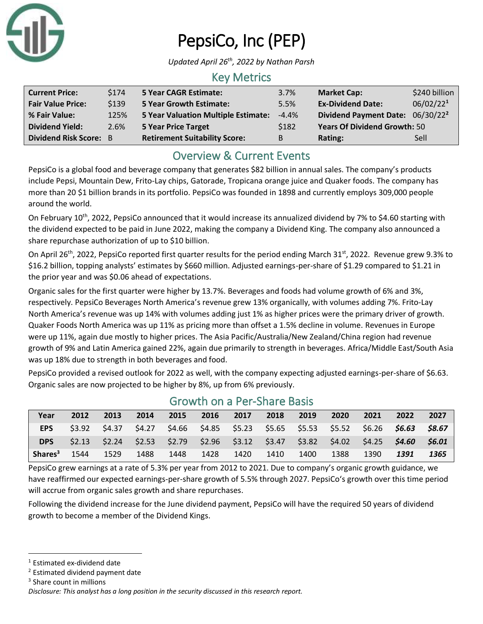

# PepsiCo, Inc (PEP)

*Updated April 26th, 2022 by Nathan Parsh*

# Key Metrics

| <b>Current Price:</b>         | \$174 | <b>5 Year CAGR Estimate:</b>               | 3.7%     | <b>Market Cap:</b>                  | \$240 billion         |
|-------------------------------|-------|--------------------------------------------|----------|-------------------------------------|-----------------------|
| <b>Fair Value Price:</b>      | \$139 | <b>5 Year Growth Estimate:</b>             | 5.5%     | <b>Ex-Dividend Date:</b>            | 06/02/22 <sup>1</sup> |
| % Fair Value:                 | 125%  | <b>5 Year Valuation Multiple Estimate:</b> | $-4.4\%$ | Dividend Payment Date: 06/30/222    |                       |
| <b>Dividend Yield:</b>        | 2.6%  | <b>5 Year Price Target</b>                 | \$182    | <b>Years Of Dividend Growth: 50</b> |                       |
| <b>Dividend Risk Score: B</b> |       | <b>Retirement Suitability Score:</b>       | B        | Rating:                             | Sell                  |

# Overview & Current Events

PepsiCo is a global food and beverage company that generates \$82 billion in annual sales. The company's products include Pepsi, Mountain Dew, Frito-Lay chips, Gatorade, Tropicana orange juice and Quaker foods. The company has more than 20 \$1 billion brands in its portfolio. PepsiCo was founded in 1898 and currently employs 309,000 people around the world.

On February 10<sup>th</sup>, 2022, PepsiCo announced that it would increase its annualized dividend by 7% to \$4.60 starting with the dividend expected to be paid in June 2022, making the company a Dividend King. The company also announced a share repurchase authorization of up to \$10 billion.

On April 26<sup>th</sup>, 2022, PepsiCo reported first quarter results for the period ending March 31<sup>st</sup>, 2022. Revenue grew 9.3% to \$16.2 billion, topping analysts' estimates by \$660 million. Adjusted earnings-per-share of \$1.29 compared to \$1.21 in the prior year and was \$0.06 ahead of expectations.

Organic sales for the first quarter were higher by 13.7%. Beverages and foods had volume growth of 6% and 3%, respectively. PepsiCo Beverages North America's revenue grew 13% organically, with volumes adding 7%. Frito-Lay North America's revenue was up 14% with volumes adding just 1% as higher prices were the primary driver of growth. Quaker Foods North America was up 11% as pricing more than offset a 1.5% decline in volume. Revenues in Europe were up 11%, again due mostly to higher prices. The Asia Pacific/Australia/New Zealand/China region had revenue growth of 9% and Latin America gained 22%, again due primarily to strength in beverages. Africa/Middle East/South Asia was up 18% due to strength in both beverages and food.

PepsiCo provided a revised outlook for 2022 as well, with the company expecting adjusted earnings-per-share of \$6.63. Organic sales are now projected to be higher by 8%, up from 6% previously.

| Year                | 2012 | 2013 | 2014 | 2015 | 2016 | 2017      | 2018 | 2019 | 2020 | 2021 | 2022                                                                                                 | 2027 |
|---------------------|------|------|------|------|------|-----------|------|------|------|------|------------------------------------------------------------------------------------------------------|------|
| <b>EPS</b>          |      |      |      |      |      |           |      |      |      |      | $$3.92$ $$4.37$ $$4.27$ $$4.66$ $$4.85$ $$5.23$ $$5.65$ $$5.53$ $$5.52$ $$6.26$ $$6.63$ $$8.67$      |      |
| <b>DPS</b>          |      |      |      |      |      |           |      |      |      |      | \$2.13  \$2.24  \$2.53  \$2.79  \$2.96  \$3.12  \$3.47  \$3.82  \$4.02  \$4.25 <b>\$4.60  \$6.01</b> |      |
| Shares <sup>3</sup> | 1544 | 1529 | 1488 | 1448 |      | 1428 1420 | 1410 | 1400 | 1388 | 1390 | 1391                                                                                                 | 1365 |

### Growth on a Per-Share Basis

PepsiCo grew earnings at a rate of 5.3% per year from 2012 to 2021. Due to company's organic growth guidance, we have reaffirmed our expected earnings-per-share growth of 5.5% through 2027. PepsiCo's growth over this time period will accrue from organic sales growth and share repurchases.

Following the dividend increase for the June dividend payment, PepsiCo will have the required 50 years of dividend growth to become a member of the Dividend Kings.

<sup>2</sup> Estimated dividend payment date

<sup>1</sup> Estimated ex-dividend date

<sup>&</sup>lt;sup>3</sup> Share count in millions

*Disclosure: This analyst has a long position in the security discussed in this research report.*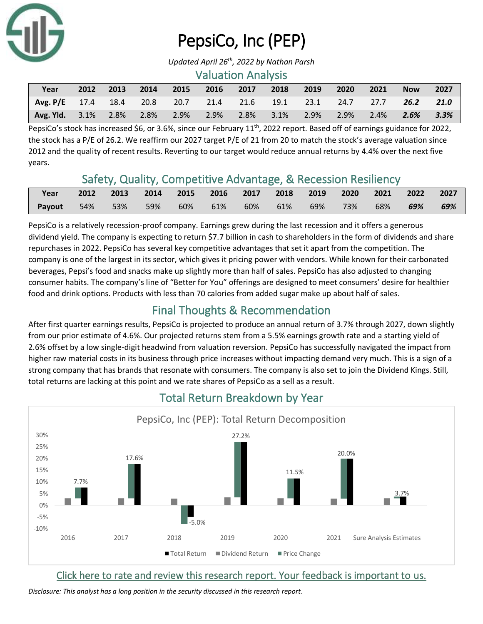

# PepsiCo, Inc (PEP)

*Updated April 26th, 2022 by Nathan Parsh*

### Valuation Analysis

| Year                                                                 | 2012 | 2013 | $\sim$ 2014 | 2015      | 2016               | 2017 | 2018           | 2019 | 2020    | $\sim$ 2021 | <b>Now</b> | 2027 |
|----------------------------------------------------------------------|------|------|-------------|-----------|--------------------|------|----------------|------|---------|-------------|------------|------|
| Avg. P/E 17.4 18.4 20.8 20.7 21.4 21.6 19.1 23.1 24.7 27.7 26.2 21.0 |      |      |             |           |                    |      |                |      |         |             |            |      |
| <b>Avg. Yld.</b> 3.1% 2.8%                                           |      |      |             | 2.8% 2.9% | $\sim$ 2.9% $\sim$ |      | 2.8% 3.1% 2.9% |      | $2.9\%$ | 2.4%        | $2.6\%$    | 3.3% |

PepsiCo's stock has increased \$6, or 3.6%, since our February  $11^{th}$ , 2022 report. Based off of earnings guidance for 2022, the stock has a P/E of 26.2. We reaffirm our 2027 target P/E of 21 from 20 to match the stock's average valuation since 2012 and the quality of recent results. Reverting to our target would reduce annual returns by 4.4% over the next five years.

# Safety, Quality, Competitive Advantage, & Recession Resiliency

| Year   |          |  | 2012 2013 2014 2015 2016 2017 2018 2019 2020 2021 2022 2027 |         |     |     |         |     |     |
|--------|----------|--|-------------------------------------------------------------|---------|-----|-----|---------|-----|-----|
| Payout | 54%  53% |  | 59% 60% 61%                                                 | 60% 61% | 69% | 73% | $-68\%$ | 69% | 69% |

PepsiCo is a relatively recession-proof company. Earnings grew during the last recession and it offers a generous dividend yield. The company is expecting to return \$7.7 billion in cash to shareholders in the form of dividends and share repurchases in 2022. PepsiCo has several key competitive advantages that set it apart from the competition. The company is one of the largest in its sector, which gives it pricing power with vendors. While known for their carbonated beverages, Pepsi's food and snacks make up slightly more than half of sales. PepsiCo has also adjusted to changing consumer habits. The company's line of "Better for You" offerings are designed to meet consumers' desire for healthier food and drink options. Products with less than 70 calories from added sugar make up about half of sales.

# Final Thoughts & Recommendation

After first quarter earnings results, PepsiCo is projected to produce an annual return of 3.7% through 2027, down slightly from our prior estimate of 4.6%. Our projected returns stem from a 5.5% earnings growth rate and a starting yield of 2.6% offset by a low single-digit headwind from valuation reversion. PepsiCo has successfully navigated the impact from higher raw material costs in its business through price increases without impacting demand very much. This is a sign of a strong company that has brands that resonate with consumers. The company is also set to join the Dividend Kings. Still, total returns are lacking at this point and we rate shares of PepsiCo as a sell as a result.



# Total Return Breakdown by Year

[Click here to rate and review this research report. Your feedback is important to us.](https://suredividend.typeform.com/to/pOfbkh)

*Disclosure: This analyst has a long position in the security discussed in this research report.*